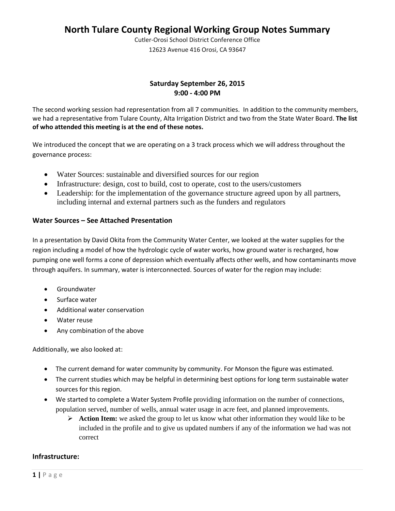Cutler-Orosi School District Conference Office 12623 Avenue 416 Orosi, CA 93647

## **Saturday September 26, 2015 9:00 - 4:00 PM**

The second working session had representation from all 7 communities. In addition to the community members, we had a representative from Tulare County, Alta Irrigation District and two from the State Water Board. **The list of who attended this meeting is at the end of these notes.** 

We introduced the concept that we are operating on a 3 track process which we will address throughout the governance process:

- Water Sources: sustainable and diversified sources for our region
- Infrastructure: design, cost to build, cost to operate, cost to the users/customers
- Leadership: for the implementation of the governance structure agreed upon by all partners, including internal and external partners such as the funders and regulators

## **Water Sources – See Attached Presentation**

In a presentation by David Okita from the Community Water Center, we looked at the water supplies for the region including a model of how the hydrologic cycle of water works, how ground water is recharged, how pumping one well forms a cone of depression which eventually affects other wells, and how contaminants move through aquifers. In summary, water is interconnected. Sources of water for the region may include:

- Groundwater
- Surface water
- Additional water conservation
- Water reuse
- Any combination of the above

Additionally, we also looked at:

- The current demand for water community by community. For Monson the figure was estimated.
- The current studies which may be helpful in determining best options for long term sustainable water sources for this region.
- We started to complete a Water System Profile providing information on the number of connections, population served, number of wells, annual water usage in acre feet, and planned improvements.
	- Action Item: we asked the group to let us know what other information they would like to be included in the profile and to give us updated numbers if any of the information we had was not correct

### **Infrastructure:**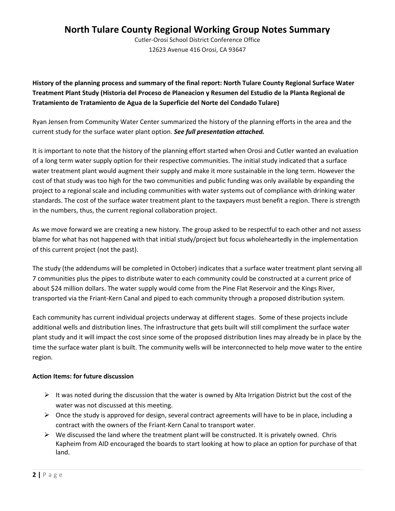Cutler-Orosi School District Conference Office 12623 Avenue 416 Orosi, CA 93647

**History of the planning process and summary of the final report: North Tulare County Regional Surface Water Treatment Plant Study (Historia del Proceso de Planeacion y Resumen del Estudio de la Planta Regional de Tratamiento de Tratamiento de Agua de la Superficie del Norte del Condado Tulare)**

Ryan Jensen from Community Water Center summarized the history of the planning efforts in the area and the current study for the surface water plant option. *See full presentation attached.*

It is important to note that the history of the planning effort started when Orosi and Cutler wanted an evaluation of a long term water supply option for their respective communities. The initial study indicated that a surface water treatment plant would augment their supply and make it more sustainable in the long term. However the cost of that study was too high for the two communities and public funding was only available by expanding the project to a regional scale and including communities with water systems out of compliance with drinking water standards. The cost of the surface water treatment plant to the taxpayers must benefit a region. There is strength in the numbers, thus, the current regional collaboration project.

As we move forward we are creating a new history. The group asked to be respectful to each other and not assess blame for what has not happened with that initial study/project but focus wholeheartedly in the implementation of this current project (not the past).

The study (the addendums will be completed in October) indicates that a surface water treatment plant serving all 7 communities plus the pipes to distribute water to each community could be constructed at a current price of about \$24 million dollars. The water supply would come from the Pine Flat Reservoir and the Kings River, transported via the Friant-Kern Canal and piped to each community through a proposed distribution system.

Each community has current individual projects underway at different stages. Some of these projects include additional wells and distribution lines. The infrastructure that gets built will still compliment the surface water plant study and it will impact the cost since some of the proposed distribution lines may already be in place by the time the surface water plant is built. The community wells will be interconnected to help move water to the entire region.

### **Action Items: for future discussion**

- $\triangleright$  It was noted during the discussion that the water is owned by Alta Irrigation District but the cost of the water was not discussed at this meeting.
- $\triangleright$  Once the study is approved for design, several contract agreements will have to be in place, including a contract with the owners of the Friant-Kern Canal to transport water.
- $\triangleright$  We discussed the land where the treatment plant will be constructed. It is privately owned. Chris Kapheim from AID encouraged the boards to start looking at how to place an option for purchase of that land.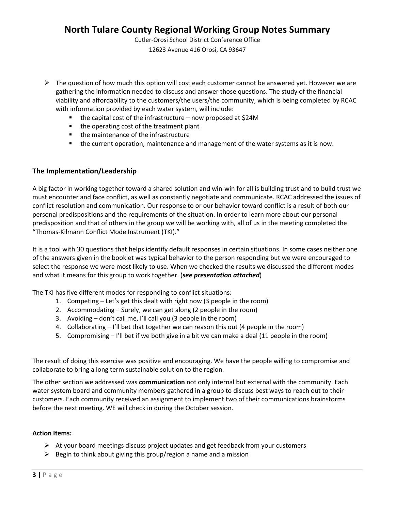Cutler-Orosi School District Conference Office 12623 Avenue 416 Orosi, CA 93647

- $\triangleright$  The question of how much this option will cost each customer cannot be answered yet. However we are gathering the information needed to discuss and answer those questions. The study of the financial viability and affordability to the customers/the users/the community, which is being completed by RCAC with information provided by each water system, will include:
	- $\blacksquare$  the capital cost of the infrastructure now proposed at \$24M
	- the operating cost of the treatment plant
	- the maintenance of the infrastructure
	- the current operation, maintenance and management of the water systems as it is now.

### **The Implementation/Leadership**

A big factor in working together toward a shared solution and win-win for all is building trust and to build trust we must encounter and face conflict, as well as constantly negotiate and communicate. RCAC addressed the issues of conflict resolution and communication. Our response to or our behavior toward conflict is a result of both our personal predispositions and the requirements of the situation. In order to learn more about our personal predisposition and that of others in the group we will be working with, all of us in the meeting completed the "Thomas-Kilmann Conflict Mode Instrument (TKI)."

It is a tool with 30 questions that helps identify default responses in certain situations. In some cases neither one of the answers given in the booklet was typical behavior to the person responding but we were encouraged to select the response we were most likely to use. When we checked the results we discussed the different modes and what it means for this group to work together. (*see presentation attached*)

The TKI has five different modes for responding to conflict situations:

- 1. Competing Let's get this dealt with right now (3 people in the room)
- 2. Accommodating Surely, we can get along (2 people in the room)
- 3. Avoiding don't call me, I'll call you (3 people in the room)
- 4. Collaborating I'll bet that together we can reason this out (4 people in the room)
- 5. Compromising  $-1'$ ll bet if we both give in a bit we can make a deal (11 people in the room)

The result of doing this exercise was positive and encouraging. We have the people willing to compromise and collaborate to bring a long term sustainable solution to the region.

The other section we addressed was **communication** not only internal but external with the community. Each water system board and community members gathered in a group to discuss best ways to reach out to their customers. Each community received an assignment to implement two of their communications brainstorms before the next meeting. WE will check in during the October session.

### **Action Items:**

- $\triangleright$  At your board meetings discuss project updates and get feedback from your customers
- $\triangleright$  Begin to think about giving this group/region a name and a mission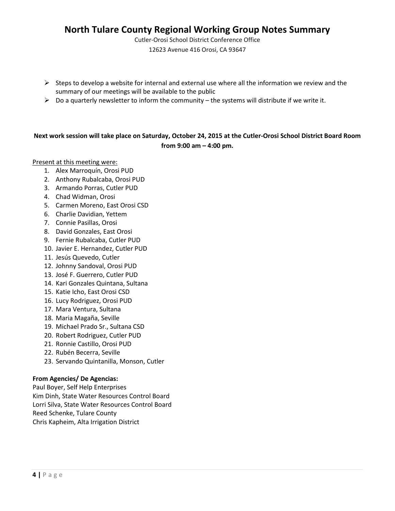Cutler-Orosi School District Conference Office 12623 Avenue 416 Orosi, CA 93647

- $\triangleright$  Steps to develop a website for internal and external use where all the information we review and the summary of our meetings will be available to the public
- $\triangleright$  Do a quarterly newsletter to inform the community the systems will distribute if we write it.

### **Next work session will take place on Saturday, October 24, 2015 at the Cutler-Orosi School District Board Room from 9:00 am – 4:00 pm.**

Present at this meeting were:

- 1. Alex Marroquín, Orosi PUD
- 2. Anthony Rubalcaba, Orosi PUD
- 3. Armando Porras, Cutler PUD
- 4. Chad Widman, Orosi
- 5. Carmen Moreno, East Orosi CSD
- 6. Charlie Davidian, Yettem
- 7. Connie Pasillas, Orosi
- 8. David Gonzales, East Orosi
- 9. Fernie Rubalcaba, Cutler PUD
- 10. Javier E. Hernandez, Cutler PUD
- 11. Jesús Quevedo, Cutler
- 12. Johnny Sandoval, Orosi PUD
- 13. José F. Guerrero, Cutler PUD
- 14. Kari Gonzales Quintana, Sultana
- 15. Katie Icho, East Orosi CSD
- 16. Lucy Rodriguez, Orosi PUD
- 17. Mara Ventura, Sultana
- 18. Maria Magaña, Seville
- 19. Michael Prado Sr., Sultana CSD
- 20. Robert Rodriguez, Cutler PUD
- 21. Ronnie Castillo, Orosi PUD
- 22. Rubén Becerra, Seville
- 23. Servando Quintanilla, Monson, Cutler

### **From Agencies/ De Agencias:**

Paul Boyer, Self Help Enterprises Kim Dinh, State Water Resources Control Board Lorri Silva, State Water Resources Control Board Reed Schenke, Tulare County Chris Kapheim, Alta Irrigation District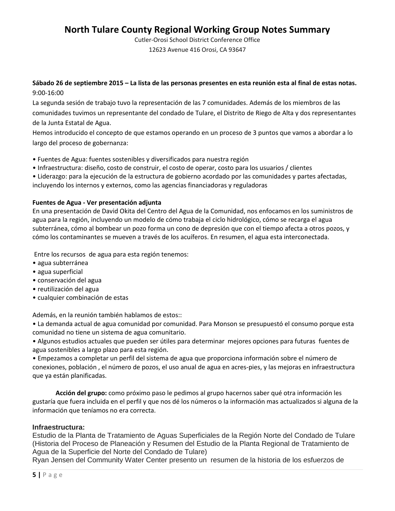Cutler-Orosi School District Conference Office 12623 Avenue 416 Orosi, CA 93647

**Sábado 26 de septiembre 2015 – La lista de las personas presentes en esta reunión esta al final de estas notas.**  9:00-16:00

La segunda sesión de trabajo tuvo la representación de las 7 comunidades. Además de los miembros de las comunidades tuvimos un representante del condado de Tulare, el Distrito de Riego de Alta y dos representantes de la Junta Estatal de Agua.

Hemos introducido el concepto de que estamos operando en un proceso de 3 puntos que vamos a abordar a lo largo del proceso de gobernanza:

- Fuentes de Agua: fuentes sostenibles y diversificados para nuestra región
- Infraestructura: diseño, costo de construir, el costo de operar, costo para los usuarios / clientes
- Liderazgo: para la ejecución de la estructura de gobierno acordado por las comunidades y partes afectadas, incluyendo los internos y externos, como las agencias financiadoras y reguladoras

### **Fuentes de Agua - Ver presentación adjunta**

En una presentación de David Okita del Centro del Agua de la Comunidad, nos enfocamos en los suministros de agua para la región, incluyendo un modelo de cómo trabaja el ciclo hidrológico, cómo se recarga el agua subterránea, cómo al bombear un pozo forma un cono de depresión que con el tiempo afecta a otros pozos, y cómo los contaminantes se mueven a través de los acuíferos. En resumen, el agua esta interconectada.

Entre los recursos de agua para esta región tenemos:

- agua subterránea
- agua superficial
- conservación del agua
- reutilización del agua
- cualquier combinación de estas

Además, en la reunión también hablamos de estos::

• La demanda actual de agua comunidad por comunidad. Para Monson se presupuestó el consumo porque esta comunidad no tiene un sistema de agua comunitario.

• Algunos estudios actuales que pueden ser útiles para determinar mejores opciones para futuras fuentes de agua sostenibles a largo plazo para esta región.

• Empezamos a completar un perfil del sistema de agua que proporciona información sobre el número de conexiones, población , el número de pozos, el uso anual de agua en acres-pies, y las mejoras en infraestructura que ya están planificadas.

**Acción del grupo:** como próximo paso le pedimos al grupo hacernos saber qué otra información les gustaría que fuera incluida en el perfil y que nos dé los números o la información mas actualizados si alguna de la información que teníamos no era correcta.

### **Infraestructura:**

Estudio de la Planta de Tratamiento de Aguas Superficiales de la Región Norte del Condado de Tulare (Historia del Proceso de Planeación y Resumen del Estudio de la Planta Regional de Tratamiento de Agua de la Superficie del Norte del Condado de Tulare)

Ryan Jensen del Community Water Center presento un resumen de la historia de los esfuerzos de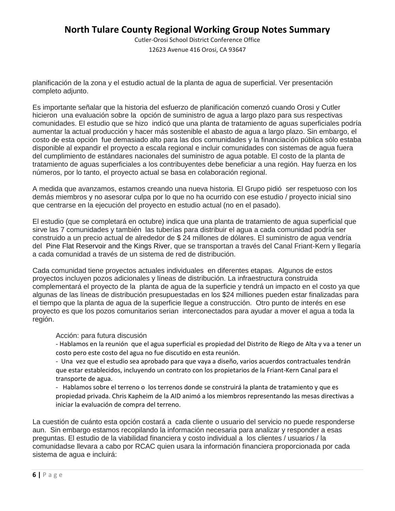Cutler-Orosi School District Conference Office 12623 Avenue 416 Orosi, CA 93647

planificación de la zona y el estudio actual de la planta de agua de superficial. Ver presentación completo adjunto.

Es importante señalar que la historia del esfuerzo de planificación comenzó cuando Orosi y Cutler hicieron una evaluación sobre la opción de suministro de agua a largo plazo para sus respectivas comunidades. El estudio que se hizo indicó que una planta de tratamiento de aguas superficiales podría aumentar la actual producción y hacer más sostenible el abasto de agua a largo plazo. Sin embargo, el costo de esta opción fue demasiado alto para las dos comunidades y la financiación pública sólo estaba disponible al expandir el proyecto a escala regional e incluir comunidades con sistemas de agua fuera del cumplimiento de estándares nacionales del suministro de agua potable. El costo de la planta de tratamiento de aguas superficiales a los contribuyentes debe beneficiar a una región. Hay fuerza en los números, por lo tanto, el proyecto actual se basa en colaboración regional.

A medida que avanzamos, estamos creando una nueva historia. El Grupo pidió ser respetuoso con los demás miembros y no asesorar culpa por lo que no ha ocurrido con ese estudio / proyecto inicial sino que centrarse en la ejecución del proyecto en estudio actual (no en el pasado).

El estudio (que se completará en octubre) indica que una planta de tratamiento de agua superficial que sirve las 7 comunidades y también las tuberías para distribuir el agua a cada comunidad podría ser construido a un precio actual de alrededor de \$ 24 millones de dólares. El suministro de agua vendría del Pine Flat Reservoir and the Kings River, que se transportan a través del Canal Friant-Kern y llegaría a cada comunidad a través de un sistema de red de distribución.

Cada comunidad tiene proyectos actuales individuales en diferentes etapas. Algunos de estos proyectos incluyen pozos adicionales y líneas de distribución. La infraestructura construida complementará el proyecto de la planta de agua de la superficie y tendrá un impacto en el costo ya que algunas de las líneas de distribución presupuestadas en los \$24 milliones pueden estar finalizadas para el tiempo que la planta de agua de la superficie llegue a construcción. Otro punto de interés en ese proyecto es que los pozos comunitarios serian interconectados para ayudar a mover el agua a toda la región.

Acción: para futura discusión

- Hablamos en la reunión que el agua superficial es propiedad del Distrito de Riego de Alta y va a tener un costo pero este costo del agua no fue discutido en esta reunión.

- Una vez que el estudio sea aprobado para que vaya a diseño, varios acuerdos contractuales tendrán que estar establecidos, incluyendo un contrato con los propietarios de la Friant-Kern Canal para el transporte de agua.

- Hablamos sobre el terreno o los terrenos donde se construirá la planta de tratamiento y que es propiedad privada. Chris Kapheim de la AID animó a los miembros representando las mesas directivas a iniciar la evaluación de compra del terreno.

La cuestión de cuánto esta opción costará a cada cliente o usuario del servicio no puede responderse aun. Sin embargo estamos recopilando la información necesaria para analizar y responder a esas preguntas. El estudio de la viabilidad financiera y costo individual a los clientes / usuarios / la comunidadse llevara a cabo por RCAC quien usara la información financiera proporcionada por cada sistema de agua e incluirá: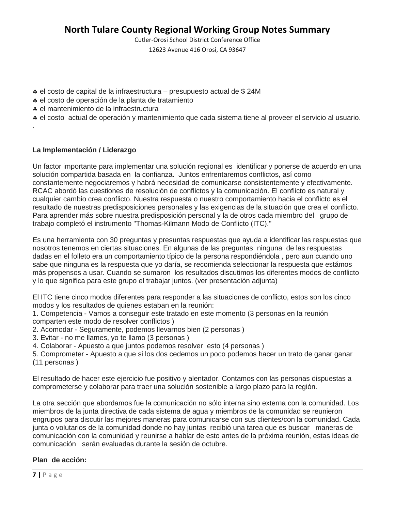Cutler-Orosi School District Conference Office

12623 Avenue 416 Orosi, CA 93647

- ♣ el costo de capital de la infraestructura presupuesto actual de \$ 24M
- ♣ el costo de operación de la planta de tratamiento
- ♣ el mantenimiento de la infraestructura
- ♣ el costo actual de operación y mantenimiento que cada sistema tiene al proveer el servicio al usuario.

### **La Implementación / Liderazgo**

.

Un factor importante para implementar una solución regional es identificar y ponerse de acuerdo en una solución compartida basada en la confianza. Juntos enfrentaremos conflictos, así como constantemente negociaremos y habrá necesidad de comunicarse consistentemente y efectivamente. RCAC abordó las cuestiones de resolución de conflictos y la comunicación. El conflicto es natural y cualquier cambio crea conflicto. Nuestra respuesta o nuestro comportamiento hacia el conflicto es el resultado de nuestras predisposiciones personales y las exigencias de la situación que crea el conflicto. Para aprender más sobre nuestra predisposición personal y la de otros cada miembro del grupo de trabajo completó el instrumento "Thomas-Kilmann Modo de Conflicto (ITC)."

Es una herramienta con 30 preguntas y presuntas respuestas que ayuda a identificar las respuestas que nosotros tenemos en ciertas situaciones. En algunas de las preguntas ninguna de las respuestas dadas en el folleto era un comportamiento típico de la persona respondiéndola , pero aun cuando uno sabe que ninguna es la respuesta que yo daría, se recomienda seleccionar la respuesta que estámos más propensos a usar. Cuando se sumaron los resultados discutimos los diferentes modos de conflicto y lo que significa para este grupo el trabajar juntos. (ver presentación adjunta)

El ITC tiene cinco modos diferentes para responder a las situaciones de conflicto, estos son los cinco modos y los resultados de quienes estaban en la reunión:

1. Competencia - Vamos a conseguir este tratado en este momento (3 personas en la reunión comparten este modo de resolver conflictos )

- 2. Acomodar Seguramente, podemos llevarnos bien (2 personas )
- 3. Evitar no me llames, yo te llamo (3 personas )
- 4. Colaborar Apuesto a que juntos podemos resolver esto (4 personas )
- 5. Comprometer Apuesto a que si los dos cedemos un poco podemos hacer un trato de ganar ganar (11 personas )

El resultado de hacer este ejercicio fue positivo y alentador. Contamos con las personas dispuestas a comprometerse y colaborar para traer una solución sostenible a largo plazo para la región.

La otra sección que abordamos fue la comunicación no sólo interna sino externa con la comunidad. Los miembros de la junta directiva de cada sistema de agua y miembros de la comunidad se reunieron engrupos para discutir las mejores maneras para comunicarse con sus clientes/con la comunidad. Cada junta o volutarios de la comunidad donde no hay juntas recibió una tarea que es buscar maneras de comunicación con la comunidad y reunirse a hablar de esto antes de la próxima reunión, estas ideas de comunicación serán evaluadas durante la sesión de octubre.

### **Plan de acción:**